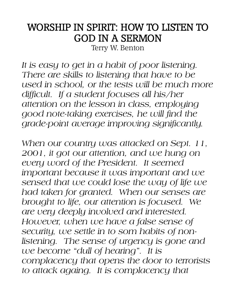## WORSHIP IN SPIRIT: HOW TO LISTEN TO GOD IN A SERMON

Terry W. Benton

*It is easy to get in a habit of poor listening. There are skills to listening that have to be used in school, or the tests will be much more difficult. If a student focuses all his/her attention on the lesson in class, employing good note-taking exercises, he will find the grade-point average improving significantly.*

*When our country was attacked on Sept. 11, 2001, it got our attention, and we hung on every word of the President. It seemed important because it was important and we sensed that we could lose the way of life we had taken for granted. When our senses are brought to life, our attention is focused. We are very deeply involved and interested. However, when we have a false sense of security, we settle in to som habits of nonlistening. The sense of urgency is gone and we become "dull of hearing". It is complacency that opens the door to terrorists to attack againg. It is complacency that*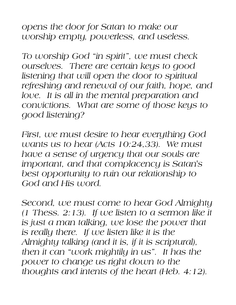*opens the door for Satan to make our worship empty, powerless, and useless.*

*To worship God "in spirit", we must check ourselves. There are certain keys to good listening that will open the door to spiritual refreshing and renewal of our faith, hope, and love. It is all in the mental preparation and convictions. What are some of those keys to good listening?*

*First, we must desire to hear everything God wants us to hear (Acts 10:24,33). We must have a sense of urgency that our souls are important, and that complacency is Satan's best opportunity to ruin our relationship to God and His word.*

*Second, we must come to hear God Almighty (1 Thess. 2:13). If we listen to a sermon like it is just a man talking, we lose the power that is really there. If we listen like it is the Almighty talking (and it is, if it is scriptural), then it can "work mightily in us". It has the power to change us right down to the thoughts and intents of the heart (Heb. 4:12).*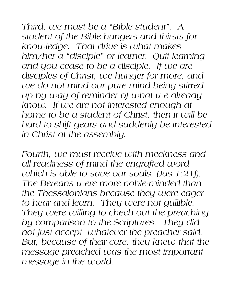*Third, we must be a "Bible student". A student of the Bible hungers and thirsts for knowledge. That drive is what makes him/her a "disciple" or learner. Quit learning and you cease to be a disciple. If we are disciples of Christ, we hunger for more, and we do not mind our pure mind being stirred up by way of reminder of what we already know. If we are not interested enough at home to be a student of Christ, then it will be hard to shift gears and suddenly be interested in Christ at the assembly.*

*Fourth, we must receive with meekness and all readiness of mind the engrafted word which is able to save our souls. (Jas.1:21f). The Bereans were more noble-minded than the Thessalonians because they were eager to hear and learn. They were not gullible. They were willing to chech out the preaching by comparison to the Scriptures. They did not just accept whatever the preacher said. But, because of their care, they knew that the message preached was the most important message in the world.*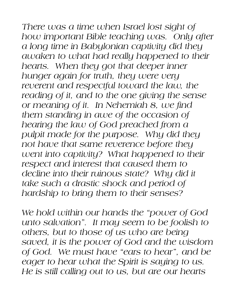*There was a time when Israel lost sight of how important Bible teaching was. Only after a long time in Babylonian captivity did they awaken to what had really happened to their hearts. When they got that deeper inner hunger again for truth, they were very*  reverent and respectful toward the law, the *reading of it, and to the one giving the sense or meaning of it. In Nehemiah 8, we find them standing in awe of the occasion of hearing the law of God preached from a pulpit made for the purpose. Why did they not have that same reverence before they went into captivity? What happened to their respect and interest that caused them to decline into their ruinous state? Why did it take such a drastic shock and period of hardship to bring them to their senses?*

*We hold within our hands the "power of God unto salvation". It may seem to be foolish to others, but to those of us who are being saved, it is the power of God and the wisdom of God. We must have "ears to hear", and be eager to hear what the Spirit is saying to us. He is still calling out to us, but are our hearts*